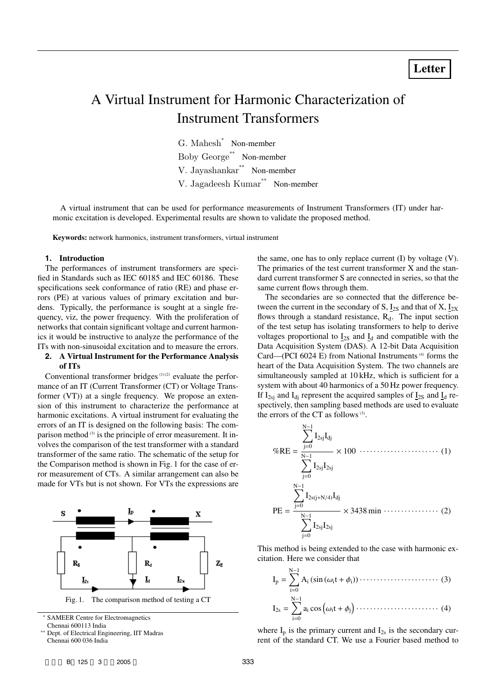# A Virtual Instrument for Harmonic Characterization of Instrument Transformers

G. Mahesh<sup>∗</sup> Non-member Boby George∗∗ Non-member V. Jayashankar∗∗ Non-member V. Jagadeesh Kumar∗∗ Non-member

A virtual instrument that can be used for performance measurements of Instrument Transformers (IT) under harmonic excitation is developed. Experimental results are shown to validate the proposed method.

**Keywords:** network harmonics, instrument transformers, virtual instrument

#### **1. Introduction**

The performances of instrument transformers are specified in Standards such as IEC 60185 and IEC 60186. These specifications seek conformance of ratio (RE) and phase errors (PE) at various values of primary excitation and burdens. Typically, the performance is sought at a single frequency, viz, the power frequency. With the proliferation of networks that contain significant voltage and current harmonics it would be instructive to analyze the performance of the ITs with non-sinusoidal excitation and to measure the errors.

## **2. A Virtual Instrument for the Performance Analysis of ITs**

Conventional transformer bridges<sup> $(1)(2)$ </sup> evaluate the performance of an IT (Current Transformer (CT) or Voltage Transformer (VT)) at a single frequency. We propose an extension of this instrument to characterize the performance at harmonic excitations. A virtual instrument for evaluating the errors of an IT is designed on the following basis: The comparison method  $(3)$  is the principle of error measurement. It involves the comparison of the test transformer with a standard transformer of the same ratio. The schematic of the setup for the Comparison method is shown in Fig. 1 for the case of error measurement of CTs. A similar arrangement can also be made for VTs but is not shown. For VTs the expressions are



SAMEER Centre for Electromagnetics Chennai 600113 India

∗∗ Dept. of Electrical Engineering, IIT Madras Chennai 600 036 India

the same, one has to only replace current (I) by voltage (V). The primaries of the test current transformer X and the standard current transformer S are connected in series, so that the same current flows through them.

The secondaries are so connected that the difference between the current in the secondary of S,  $I_{2S}$  and that of X,  $I_{2X}$ flows through a standard resistance,  $R_d$ . The input section of the test setup has isolating transformers to help to derive voltages proportional to  $I_{2S}$  and  $I_d$  and compatible with the Data Acquisition System (DAS). A 12-bit Data Acquisition Card—(PCI 6024 E) from National Instruments<sup> $(4)$ </sup> forms the heart of the Data Acquisition System. The two channels are simultaneously sampled at 10 kHz, which is sufficient for a system with about 40 harmonics of a 50 Hz power frequency. If  $I_{2si}$  and  $I_{di}$  represent the acquired samples of  $I_{2s}$  and  $I_{d}$  respectively, then sampling based methods are used to evaluate the errors of the CT as follows $(3)$ .

$$
\%RE = \frac{\sum_{j=0}^{N-1} I_{2sj} I_{dj}}{\sum_{j=0}^{N-1} I_{2sj} I_{2sj}} \times 100 \cdots \cdots \cdots \cdots \cdots \cdots \cdots (1)
$$
  

$$
PE = \frac{\sum_{j=0}^{N-1} I_{2sj} I_{2sj}}{\sum_{j=0}^{N-1} I_{2sj} I_{2sj}} \times 3438 \text{ min} \cdots \cdots \cdots \cdots (2)
$$

This method is being extended to the case with harmonic excitation. Here we consider that

Ip = i=0 Ai (sin (ωit + φi)) ······················· (3) I2s = N−1 i=0 ai cosωit + φ<sup>j</sup> ························ (4)

where  $I_p$  is the primary current and  $I_{2s}$  is the secondary current of the standard CT. We use a Fourier based method to

<sub>N→</sub>1